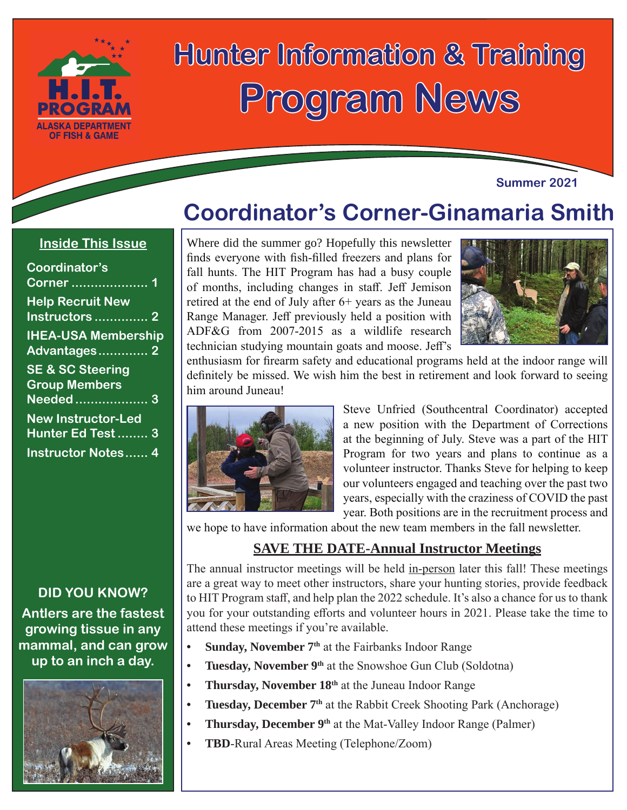

# **Hunter Information & Training Program News**

#### **Summer 2021**

## **Coordinator's Corner-Ginamaria Smith**

#### **Inside This Issue**

| Coordinator's<br>Corner  1                          |
|-----------------------------------------------------|
| <b>Help Recruit New</b>                             |
| Instructors  2                                      |
| <b>IHEA-USA Membership</b><br>Advantages 2          |
| <b>SE &amp; SC Steering</b><br><b>Group Members</b> |
| Needed 3                                            |
| <b>New Instructor-Led</b><br>Hunter Ed Test 3       |
| <b>Instructor Notes 4</b>                           |

#### **DID YOU KNOW?**

**Antlers are the fastest growing tissue in any mammal, and can grow up to an inch a day.**



Where did the summer go? Hopefully this newsletter finds everyone with fish-filled freezers and plans for fall hunts. The HIT Program has had a busy couple of months, including changes in staff. Jeff Jemison retired at the end of July after 6+ years as the Juneau Range Manager. Jeff previously held a position with ADF&G from 2007-2015 as a wildlife research technician studying mountain goats and moose. Jeff's



enthusiasm for firearm safety and educational programs held at the indoor range will definitely be missed. We wish him the best in retirement and look forward to seeing him around Juneau!



Steve Unfried (Southcentral Coordinator) accepted a new position with the Department of Corrections at the beginning of July. Steve was a part of the HIT Program for two years and plans to continue as a volunteer instructor. Thanks Steve for helping to keep our volunteers engaged and teaching over the past two years, especially with the craziness of COVID the past year. Both positions are in the recruitment process and

we hope to have information about the new team members in the fall newsletter.

#### **SAVE THE DATE-Annual Instructor Meetings**

The annual instructor meetings will be held in-person later this fall! These meetings are a great way to meet other instructors, share your hunting stories, provide feedback to HIT Program staff, and help plan the 2022 schedule. It's also a chance for us to thank you for your outstanding efforts and volunteer hours in 2021. Please take the time to attend these meetings if you're available.

- **Sunday, November 7<sup>th</sup> at the Fairbanks Indoor Range**
- **• Tuesday, November 9th** at the Snowshoe Gun Club (Soldotna)
- **Thursday, November 18th** at the Juneau Indoor Range
- **Tuesday, December 7<sup>th</sup>** at the Rabbit Creek Shooting Park (Anchorage)
- **Thursday, December 9<sup>th</sup> at the Mat-Valley Indoor Range (Palmer)**
- **• TBD**-Rural Areas Meeting (Telephone/Zoom)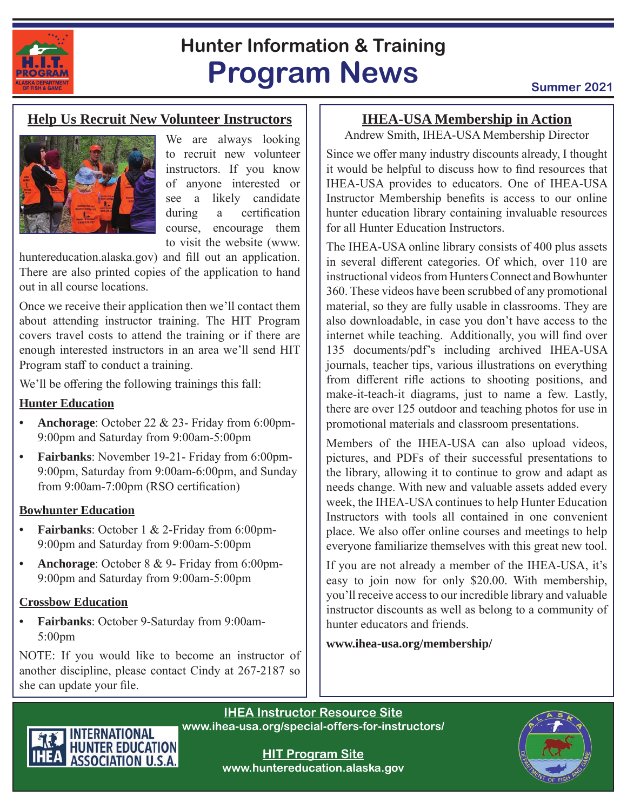

## **Hunter Information & Training Program News Summer 2021**

#### **Help Us Recruit New Volunteer Instructors**



We are always looking to recruit new volunteer instructors. If you know of anyone interested or see a likely candidate during a certification course, encourage them to visit the website (www.

huntereducation.alaska.gov) and fill out an application. There are also printed copies of the application to hand out in all course locations.

Once we receive their application then we'll contact them about attending instructor training. The HIT Program covers travel costs to attend the training or if there are enough interested instructors in an area we'll send HIT Program staff to conduct a training.

We'll be offering the following trainings this fall:

#### **Hunter Education**

- **• Anchorage**: October 22 & 23- Friday from 6:00pm-9:00pm and Saturday from 9:00am-5:00pm
- **• Fairbanks**: November 19-21- Friday from 6:00pm-9:00pm, Saturday from 9:00am-6:00pm, and Sunday from 9:00am-7:00pm (RSO certification)

#### **Bowhunter Education**

- **Fairbanks**: October 1 & 2-Friday from 6:00pm-9:00pm and Saturday from 9:00am-5:00pm
- **• Anchorage**: October 8 & 9- Friday from 6:00pm-9:00pm and Saturday from 9:00am-5:00pm

#### **Crossbow Education**

**• Fairbanks**: October 9-Saturday from 9:00am-5:00pm

NOTE: If you would like to become an instructor of another discipline, please contact Cindy at 267-2187 so she can update your file.

### **IHEA-USA Membership in Action**

Andrew Smith, IHEA-USA Membership Director

Since we offer many industry discounts already, I thought it would be helpful to discuss how to find resources that IHEA-USA provides to educators. One of IHEA-USA Instructor Membership benefits is access to our online hunter education library containing invaluable resources for all Hunter Education Instructors.

The IHEA-USA online library consists of 400 plus assets in several different categories. Of which, over 110 are instructional videos from Hunters Connect and Bowhunter 360. These videos have been scrubbed of any promotional material, so they are fully usable in classrooms. They are also downloadable, in case you don't have access to the internet while teaching. Additionally, you will find over 135 documents/pdf's including archived IHEA-USA journals, teacher tips, various illustrations on everything from different rifle actions to shooting positions, and make-it-teach-it diagrams, just to name a few. Lastly, there are over 125 outdoor and teaching photos for use in promotional materials and classroom presentations.

Members of the IHEA-USA can also upload videos, pictures, and PDFs of their successful presentations to the library, allowing it to continue to grow and adapt as needs change. With new and valuable assets added every week, the IHEA-USA continues to help Hunter Education Instructors with tools all contained in one convenient place. We also offer online courses and meetings to help everyone familiarize themselves with this great new tool.

If you are not already a member of the IHEA-USA, it's easy to join now for only \$20.00. With membership, you'll receive access to our incredible library and valuable instructor discounts as well as belong to a community of hunter educators and friends.

**www.ihea-usa.org/membership/**

**IHEA Instructor Resource Site www.ihea-usa.org/special-offers-for-instructors/**



**HIT Program Site www.huntereducation.alaska.gov**

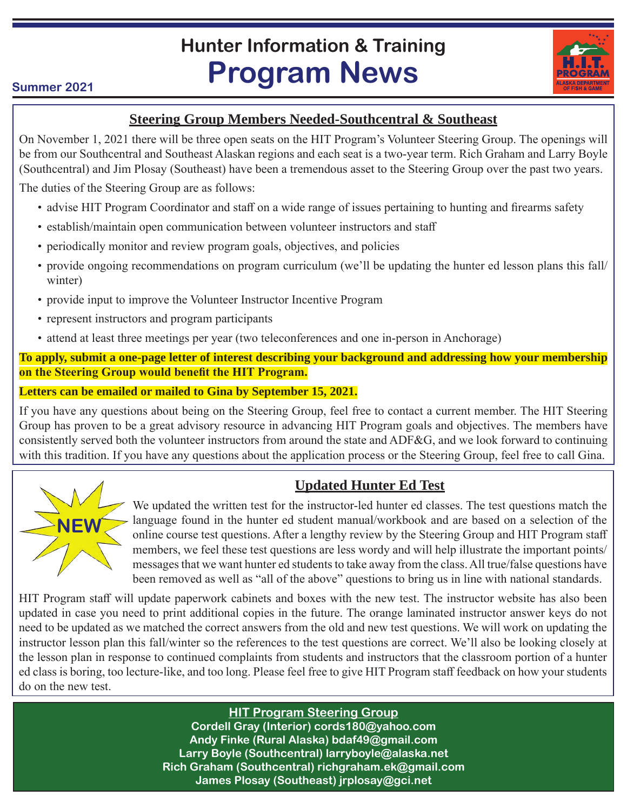# **Hunter Information & Training Program News**

#### **Summer 2021**

#### **Steering Group Members Needed-Southcentral & Southeast**

On November 1, 2021 there will be three open seats on the HIT Program's Volunteer Steering Group. The openings will be from our Southcentral and Southeast Alaskan regions and each seat is a two-year term. Rich Graham and Larry Boyle (Southcentral) and Jim Plosay (Southeast) have been a tremendous asset to the Steering Group over the past two years.

The duties of the Steering Group are as follows:

- advise HIT Program Coordinator and staff on a wide range of issues pertaining to hunting and firearms safety
- establish/maintain open communication between volunteer instructors and staff
- periodically monitor and review program goals, objectives, and policies
- provide ongoing recommendations on program curriculum (we'll be updating the hunter ed lesson plans this fall/ winter)
- provide input to improve the Volunteer Instructor Incentive Program
- represent instructors and program participants
- attend at least three meetings per year (two teleconferences and one in-person in Anchorage)

**To apply, submit a one-page letter of interest describing your background and addressing how your membership on the Steering Group would benefit the HIT Program.**

**Letters can be emailed or mailed to Gina by September 15, 2021.**

If you have any questions about being on the Steering Group, feel free to contact a current member. The HIT Steering Group has proven to be a great advisory resource in advancing HIT Program goals and objectives. The members have consistently served both the volunteer instructors from around the state and ADF&G, and we look forward to continuing with this tradition. If you have any questions about the application process or the Steering Group, feel free to call Gina.



### **Updated Hunter Ed Test**

We updated the written test for the instructor-led hunter ed classes. The test questions match the language found in the hunter ed student manual/workbook and are based on a selection of the online course test questions. After a lengthy review by the Steering Group and HIT Program staff members, we feel these test questions are less wordy and will help illustrate the important points/ messages that we want hunter ed students to take away from the class. All true/false questions have been removed as well as "all of the above" questions to bring us in line with national standards.

HIT Program staff will update paperwork cabinets and boxes with the new test. The instructor website has also been updated in case you need to print additional copies in the future. The orange laminated instructor answer keys do not need to be updated as we matched the correct answers from the old and new test questions. We will work on updating the instructor lesson plan this fall/winter so the references to the test questions are correct. We'll also be looking closely at the lesson plan in response to continued complaints from students and instructors that the classroom portion of a hunter ed class is boring, too lecture-like, and too long. Please feel free to give HIT Program staff feedback on how your students do on the new test.

**HIT Program Steering Group**

**Cordell Gray (Interior) cords180@yahoo.com Andy Finke (Rural Alaska) bdaf49@gmail.com Larry Boyle (Southcentral) larryboyle@alaska.net Rich Graham (Southcentral) richgraham.ek@gmail.com James Plosay (Southeast) jrplosay@gci.net**